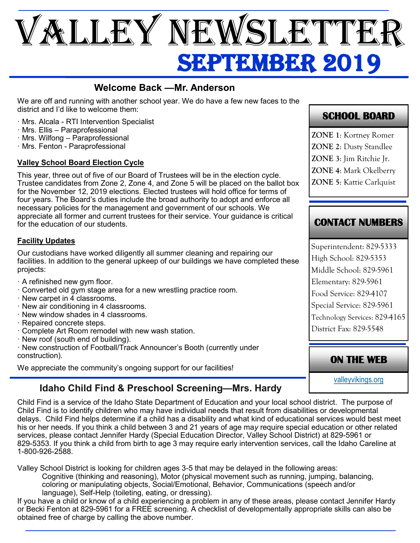# SEPTEMBER 2019 VALLEY NEWSLETTEF

## **Welcome Back —Mr. Anderson**

We are off and running with another school year. We do have a few new faces to the district and I'd like to welcome them:

- · Mrs. Alcala RTI Intervention Specialist
- · Mrs. Ellis Paraprofessional
- · Mrs. Wilfong Paraprofessional
- · Mrs. Fenton Paraprofessional

#### **Valley School Board Election Cycle**

This year, three out of five of our Board of Trustees will be in the election cycle. Trustee candidates from Zone 2, Zone 4, and Zone 5 will be placed on the ballot box for the November 12, 2019 elections. Elected trustees will hold office for terms of four years. The Board's duties include the broad authority to adopt and enforce all necessary policies for the management and government of our schools. We appreciate all former and current trustees for their service. Your guidance is critical for the education of our students.

#### **Facility Updates**

Our custodians have worked diligently all summer cleaning and repairing our facilities. In addition to the general upkeep of our buildings we have completed these projects:

- · A refinished new gym floor.
- · Converted old gym stage area for a new wrestling practice room.
- · New carpet in 4 classrooms.
- · New air conditioning in 4 classrooms.
- · New window shades in 4 classrooms.
- · Repaired concrete steps.
- · Complete Art Room remodel with new wash station.
- · New roof (south end of building).
- · New construction of Football/Track Announcer's Booth (currently under construction).

We appreciate the community's ongoing support for our facilities!

# **Idaho Child Find & Preschool Screening—Mrs. Hardy**

Child Find is a service of the Idaho State Department of Education and your local school district. The purpose of Child Find is to identify children who may have individual needs that result from disabilities or developmental delays. Child Find helps determine if a child has a disability and what kind of educational services would best meet his or her needs. If you think a child between 3 and 21 years of age ma*y* require special education or other related services, please contact Jennifer Hardy (Special Education Director, Valley School District) at 829-5961 or 829-5353. If you think a child from birth to age 3 may require early intervention services, call the Idaho Careline at 1-800-926-2588.

Valley School District is looking for children ages 3-5 that may be delayed in the following areas: Cognitive (thinking and reasoning), Motor (physical movement such as running, jumping, balancing, coloring or manipulating objects, Social/Emotional, Behavior, Communications (speech and/or language), Self-Help (toileting, eating, or dressing).

If you have a child or know of a child experiencing a problem in any of these areas, please contact Jennifer Hardy or Becki Fenton at 829-5961 for a FREE screening. A checklist of developmentally appropriate skills can also be obtained free of charge by calling the above number.

## **SCHOOL BOARD**

**ZONE 1**: Kortney Romer **ZONE 2**: Dusty Standlee **ZONE 3**: Jim Ritchie Jr.

**ZONE 4**: Mark Okelberry

**ZONE 5**: Kattie Carlquist

## **CONTACT NUMBERS**

Superintendent: 829-5333 High School: 829-5353 Middle School: 829-5961 Elementary: 829-5961 Food Service: 829-4107 Special Service: 829-5961 Technology Services: 829-4165 District Fax: 829-5548

## **ON THE WEB**

[valleyvikings.org](http://www.valleyvikings.org/)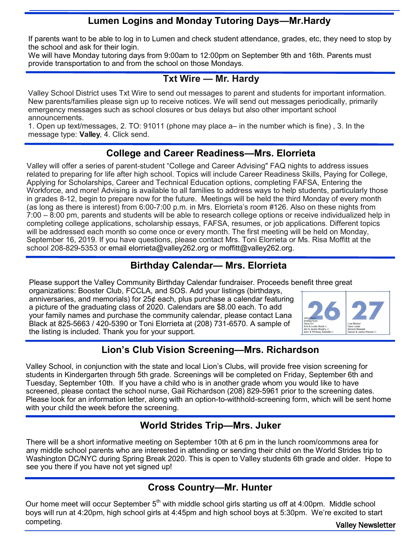## **Lumen Logins and Monday Tutoring Days—Mr.Hardy**

If parents want to be able to log in to Lumen and check student attendance, grades, etc, they need to stop by the school and ask for their login.

We will have Monday tutoring days from 9:00am to 12:00pm on September 9th and 16th. Parents must provide transportation to and from the school on those Mondays.

#### **Txt Wire — Mr. Hardy**

Valley School District uses Txt Wire to send out messages to parent and students for important information. New parents/families please sign up to receive notices. We will send out messages periodically, primarily emergency messages such as school closures or bus delays but also other important school announcements.

1. Open up text/messages, 2. TO: 91011 (phone may place a– in the number which is fine) , 3. In the message type: **Valley**, 4. Click send.

#### **College and Career Readiness—Mrs. Elorrieta**

Valley will offer a series of parent-student "College and Career Advising" FAQ nights to address issues related to preparing for life after high school. Topics will include Career Readiness Skills, Paying for College, Applying for Scholarships, Career and Technical Education options, completing FAFSA, Entering the Workforce, and more! Advising is available to all families to address ways to help students, particularly those in grades 8-12, begin to prepare now for the future. Meetings will be held the third Monday of every month (as long as there is interest) from 6:00-7:00 p.m. in Mrs. Elorrieta's room #126. Also on these nights from 7:00 – 8:00 pm, parents and students will be able to research college options or receive individualized help in completing college applications, scholarship essays, FAFSA, resumes, or job applications. Different topics will be addressed each month so come once or every month. The first meeting will be held on Monday, September 16, 2019. If you have questions, please contact Mrs. Toni Elorrieta or Ms. Risa Moffitt at the school 208-829-5353 or email elorrieta@valley262.org or moffitt@valley262.org.

## **Birthday Calendar— Mrs. Elorrieta**

Please support the Valley Community Birthday Calendar fundraiser. Proceeds benefit three great

organizations: Booster Club, FCCLA, and SOS. Add your listings (birthdays, anniversaries, and memorials) for 25¢ each, plus purchase a calendar featuring a picture of the graduating class of 2020. Calendars are \$8.00 each. To add your family names and purchase the community calendar, please contact Lana Black at 825-5663 / 420-5390 or Toni Elorrieta at (208) 731-6570. A sample of the listing is included. Thank you for your support.



## **Lion's Club Vision Screening—Mrs. Richardson**

Valley School, in conjunction with the state and local Lion's Clubs, will provide free vision screening for students in Kindergarten through 5th grade. Screenings will be completed on Friday, September 6th and Tuesday, September 10th. If you have a child who is in another grade whom you would like to have screened, please contact the school nurse, Gail Richardson (208) 829-5961 prior to the screening dates. Please look for an information letter, along with an option-to-withhold-screening form, which will be sent home with your child the week before the screening.

## **World Strides Trip—Mrs. Juker**

There will be a short informative meeting on September 10th at 6 pm in the lunch room/commons area for any middle school parents who are interested in attending or sending their child on the World Strides trip to Washington DC/NYC during Spring Break 2020. This is open to Valley students 6th grade and older. Hope to see you there if you have not yet signed up!

## **Cross Country—Mr. Hunter**

Valley Newsletter Our home meet will occur September  $5<sup>th</sup>$  with middle school girls starting us off at 4:00pm. Middle school boys will run at 4:20pm, high school girls at 4:45pm and high school boys at 5:30pm. We're excited to start competing.